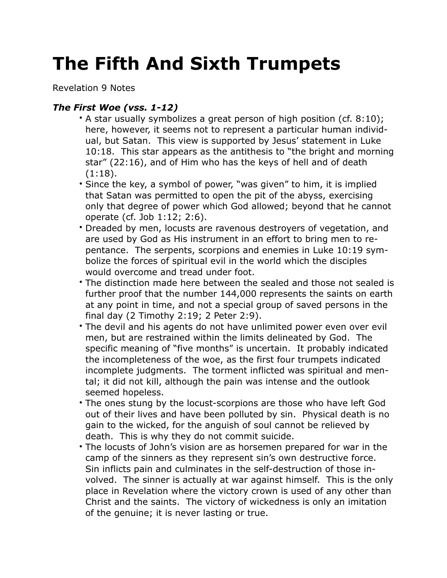## **The Fifth And Sixth Trumpets**

Revelation 9 Notes

## *The First Woe (vss. 1-12)*

- A star usually symbolizes a great person of high position (cf. 8:10); here, however, it seems not to represent a particular human individual, but Satan. This view is supported by Jesus' statement in Luke 10:18. This star appears as the antithesis to "the bright and morning star" (22:16), and of Him who has the keys of hell and of death (1:18).
- Since the key, a symbol of power, "was given" to him, it is implied that Satan was permitted to open the pit of the abyss, exercising only that degree of power which God allowed; beyond that he cannot operate (cf. Job 1:12; 2:6).
- Dreaded by men, locusts are ravenous destroyers of vegetation, and are used by God as His instrument in an effort to bring men to repentance. The serpents, scorpions and enemies in Luke 10:19 symbolize the forces of spiritual evil in the world which the disciples would overcome and tread under foot.
- The distinction made here between the sealed and those not sealed is further proof that the number 144,000 represents the saints on earth at any point in time, and not a special group of saved persons in the final day (2 Timothy 2:19; 2 Peter 2:9).
- The devil and his agents do not have unlimited power even over evil men, but are restrained within the limits delineated by God. The specific meaning of "five months" is uncertain. It probably indicated the incompleteness of the woe, as the first four trumpets indicated incomplete judgments. The torment inflicted was spiritual and mental; it did not kill, although the pain was intense and the outlook seemed hopeless.
- The ones stung by the locust-scorpions are those who have left God out of their lives and have been polluted by sin. Physical death is no gain to the wicked, for the anguish of soul cannot be relieved by death. This is why they do not commit suicide.
- The locusts of John's vision are as horsemen prepared for war in the camp of the sinners as they represent sin's own destructive force. Sin inflicts pain and culminates in the self-destruction of those involved. The sinner is actually at war against himself. This is the only place in Revelation where the victory crown is used of any other than Christ and the saints. The victory of wickedness is only an imitation of the genuine; it is never lasting or true.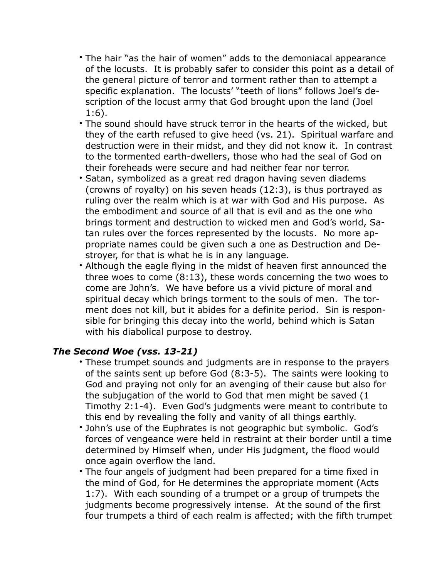- The hair "as the hair of women" adds to the demoniacal appearance of the locusts. It is probably safer to consider this point as a detail of the general picture of terror and torment rather than to attempt a specific explanation. The locusts' "teeth of lions" follows Joel's description of the locust army that God brought upon the land (Joel 1:6).
- The sound should have struck terror in the hearts of the wicked, but they of the earth refused to give heed (vs. 21). Spiritual warfare and destruction were in their midst, and they did not know it. In contrast to the tormented earth-dwellers, those who had the seal of God on their foreheads were secure and had neither fear nor terror.
- Satan, symbolized as a great red dragon having seven diadems (crowns of royalty) on his seven heads (12:3), is thus portrayed as ruling over the realm which is at war with God and His purpose. As the embodiment and source of all that is evil and as the one who brings torment and destruction to wicked men and God's world, Satan rules over the forces represented by the locusts. No more appropriate names could be given such a one as Destruction and Destroyer, for that is what he is in any language.
- Although the eagle flying in the midst of heaven first announced the three woes to come (8:13), these words concerning the two woes to come are John's. We have before us a vivid picture of moral and spiritual decay which brings torment to the souls of men. The torment does not kill, but it abides for a definite period. Sin is responsible for bringing this decay into the world, behind which is Satan with his diabolical purpose to destroy.

## *The Second Woe (vss. 13-21)*

- These trumpet sounds and judgments are in response to the prayers of the saints sent up before God (8:3-5). The saints were looking to God and praying not only for an avenging of their cause but also for the subjugation of the world to God that men might be saved (1 Timothy 2:1-4). Even God's judgments were meant to contribute to this end by revealing the folly and vanity of all things earthly.
- John's use of the Euphrates is not geographic but symbolic. God's forces of vengeance were held in restraint at their border until a time determined by Himself when, under His judgment, the flood would once again overflow the land.
- The four angels of judgment had been prepared for a time fixed in the mind of God, for He determines the appropriate moment (Acts 1:7). With each sounding of a trumpet or a group of trumpets the judgments become progressively intense. At the sound of the first four trumpets a third of each realm is affected; with the fifth trumpet